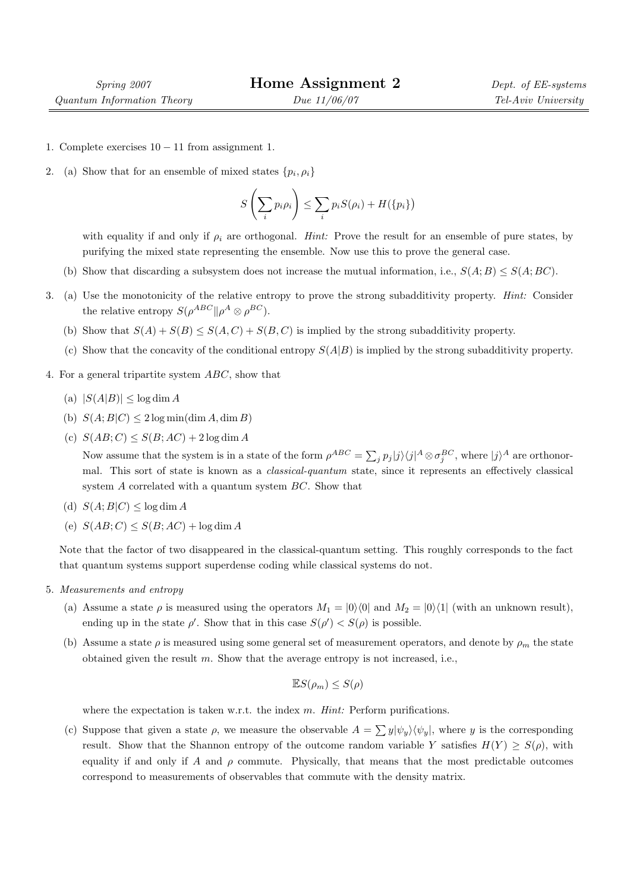- 1. Complete exercises  $10 11$  from assignment 1.
- 2. (a) Show that for an ensemble of mixed states  $\{p_i, \rho_i\}$

$$
S\left(\sum_i p_i \rho_i\right) \le \sum_i p_i S(\rho_i) + H(\{p_i\})
$$

with equality if and only if  $\rho_i$  are orthogonal. Hint: Prove the result for an ensemble of pure states, by purifying the mixed state representing the ensemble. Now use this to prove the general case.

- (b) Show that discarding a subsystem does not increase the mutual information, i.e.,  $S(A;B) \leq S(A;BC)$ .
- 3. (a) Use the monotonicity of the relative entropy to prove the strong subadditivity property. Hint: Consider the relative entropy  $S(\rho^{ABC}|| \rho^A \otimes \rho^{BC}).$ 
	- (b) Show that  $S(A) + S(B) \leq S(A, C) + S(B, C)$  is implied by the strong subadditivity property.
	- (c) Show that the concavity of the conditional entropy  $S(A|B)$  is implied by the strong subadditivity property.
- 4. For a general tripartite system ABC, show that
	- (a)  $|S(A|B)| \leq \log \dim A$
	- (b)  $S(A;B|C) \leq 2 \log \min(\dim A, \dim B)$
	- (c)  $S(AB; C) \leq S(B; AC) + 2 \log \dim A$

Now assume that the system is in a state of the form  $\rho^{ABC} = \sum$  $\langle j|^j\rangle\langle j|^A\otimes\sigma_j^{BC}, \,\textrm{where}\;|j\rangle^A \; \textrm{are orthonormal}$ mal. This sort of state is known as a classical-quantum state, since it represents an effectively classical system A correlated with a quantum system BC. Show that

- (d)  $S(A;B|C) \leq \log \dim A$
- (e)  $S(AB; C) \leq S(B; AC) + \log \dim A$

Note that the factor of two disappeared in the classical-quantum setting. This roughly corresponds to the fact that quantum systems support superdense coding while classical systems do not.

- 5. Measurements and entropy
	- (a) Assume a state  $\rho$  is measured using the operators  $M_1 = |0\rangle\langle 0|$  and  $M_2 = |0\rangle\langle 1|$  (with an unknown result), ending up in the state  $\rho'$ . Show that in this case  $S(\rho') < S(\rho)$  is possible.
	- (b) Assume a state  $\rho$  is measured using some general set of measurement operators, and denote by  $\rho_m$  the state obtained given the result  $m$ . Show that the average entropy is not increased, i.e.,

$$
\mathbb{E}S(\rho_m) \le S(\rho)
$$

where the expectation is taken w.r.t. the index m. Hint: Perform purifications.

(c) Suppose that given a state  $\rho$ , we measure the observable  $A = \sum y |\psi_y\rangle \langle \psi_y|$ , where y is the corresponding result. Show that the Shannon entropy of the outcome random variable Y satisfies  $H(Y) \ge S(\rho)$ , with equality if and only if A and  $\rho$  commute. Physically, that means that the most predictable outcomes correspond to measurements of observables that commute with the density matrix.